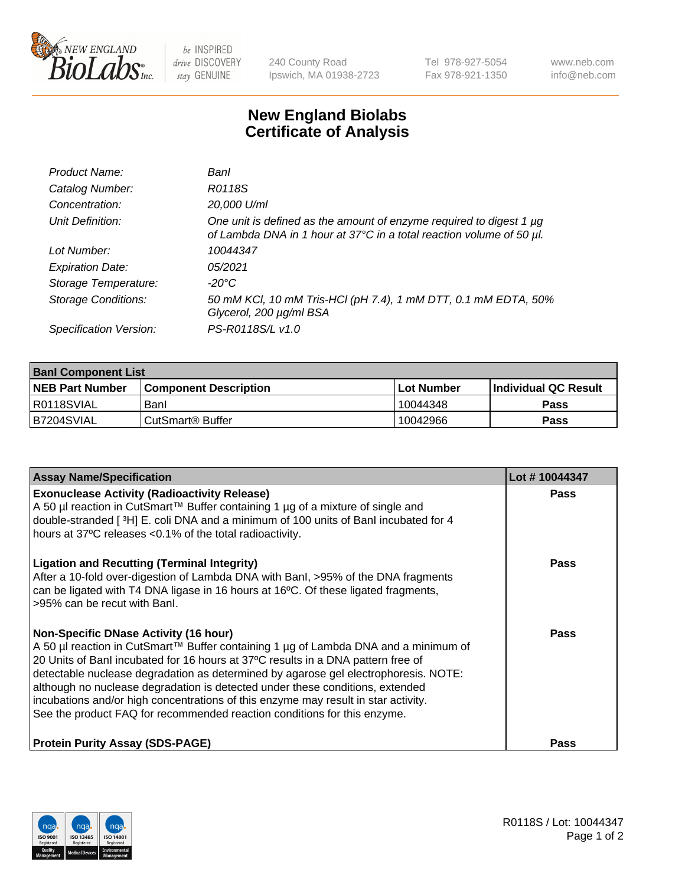

 $be$  INSPIRED drive DISCOVERY stay GENUINE

240 County Road Ipswich, MA 01938-2723 Tel 978-927-5054 Fax 978-921-1350 www.neb.com info@neb.com

## **New England Biolabs Certificate of Analysis**

| Product Name:              | Banl                                                                                                                                        |
|----------------------------|---------------------------------------------------------------------------------------------------------------------------------------------|
| Catalog Number:            | R0118S                                                                                                                                      |
| Concentration:             | 20,000 U/ml                                                                                                                                 |
| Unit Definition:           | One unit is defined as the amount of enzyme required to digest 1 µg<br>of Lambda DNA in 1 hour at 37°C in a total reaction volume of 50 µl. |
| Lot Number:                | 10044347                                                                                                                                    |
| <b>Expiration Date:</b>    | 05/2021                                                                                                                                     |
| Storage Temperature:       | -20°C                                                                                                                                       |
| <b>Storage Conditions:</b> | 50 mM KCl, 10 mM Tris-HCl (pH 7.4), 1 mM DTT, 0.1 mM EDTA, 50%<br>Glycerol, 200 µg/ml BSA                                                   |
| Specification Version:     | PS-R0118S/L v1.0                                                                                                                            |

| <b>Banl Component List</b> |                         |              |                             |  |
|----------------------------|-------------------------|--------------|-----------------------------|--|
| <b>NEB Part Number</b>     | l Component Description | l Lot Number | <b>Individual QC Result</b> |  |
| R0118SVIAL                 | Banl                    | 10044348     | Pass                        |  |
| B7204SVIAL                 | l CutSmart® Buffer      | 10042966     | Pass                        |  |

| <b>Assay Name/Specification</b>                                                                                                                                                                                                                                                                                                                                                                                                                                                                                                                                   | Lot #10044347 |
|-------------------------------------------------------------------------------------------------------------------------------------------------------------------------------------------------------------------------------------------------------------------------------------------------------------------------------------------------------------------------------------------------------------------------------------------------------------------------------------------------------------------------------------------------------------------|---------------|
| <b>Exonuclease Activity (Radioactivity Release)</b><br>A 50 µl reaction in CutSmart™ Buffer containing 1 µg of a mixture of single and<br>double-stranded [3H] E. coli DNA and a minimum of 100 units of Banl incubated for 4<br>hours at 37°C releases <0.1% of the total radioactivity.                                                                                                                                                                                                                                                                         | Pass          |
| <b>Ligation and Recutting (Terminal Integrity)</b><br>After a 10-fold over-digestion of Lambda DNA with BanI, >95% of the DNA fragments<br>can be ligated with T4 DNA ligase in 16 hours at 16°C. Of these ligated fragments,<br>>95% can be recut with Banl.                                                                                                                                                                                                                                                                                                     | Pass          |
| <b>Non-Specific DNase Activity (16 hour)</b><br>A 50 µl reaction in CutSmart™ Buffer containing 1 µg of Lambda DNA and a minimum of<br>20 Units of Banl incubated for 16 hours at 37°C results in a DNA pattern free of<br>detectable nuclease degradation as determined by agarose gel electrophoresis. NOTE:<br>although no nuclease degradation is detected under these conditions, extended<br>incubations and/or high concentrations of this enzyme may result in star activity.<br>See the product FAQ for recommended reaction conditions for this enzyme. | Pass          |
| <b>Protein Purity Assay (SDS-PAGE)</b>                                                                                                                                                                                                                                                                                                                                                                                                                                                                                                                            | Pass          |